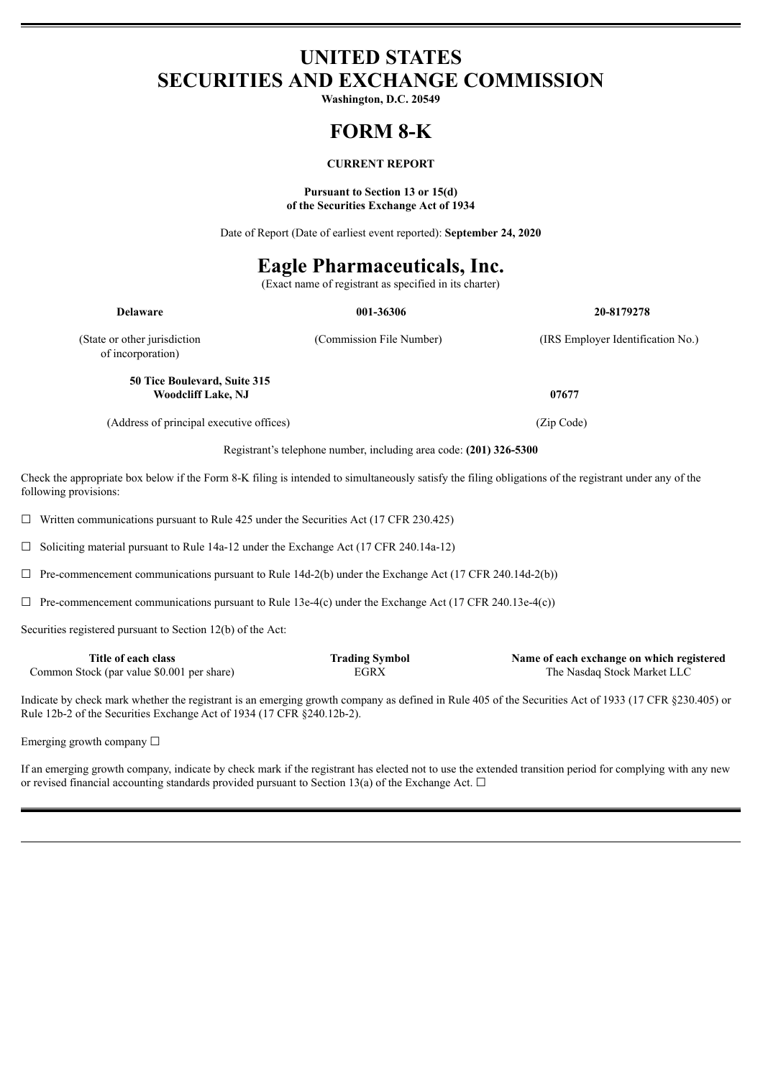# **UNITED STATES SECURITIES AND EXCHANGE COMMISSION**

**Washington, D.C. 20549**

# **FORM 8-K**

## **CURRENT REPORT**

#### **Pursuant to Section 13 or 15(d) of the Securities Exchange Act of 1934**

Date of Report (Date of earliest event reported): **September 24, 2020**

# **Eagle Pharmaceuticals, Inc.**

(Exact name of registrant as specified in its charter)

| <b>Delaware</b>                                           | 001-36306                | 20-8179278                        |
|-----------------------------------------------------------|--------------------------|-----------------------------------|
| (State or other jurisdiction)<br>of incorporation)        | (Commission File Number) | (IRS Employer Identification No.) |
| 50 Tice Boulevard, Suite 315<br><b>Woodcliff Lake, NJ</b> |                          | 07677                             |
| (Address of principal executive offices)                  |                          | (Zip Code)                        |

Registrant's telephone number, including area code: **(201) 326-5300**

Check the appropriate box below if the Form 8-K filing is intended to simultaneously satisfy the filing obligations of the registrant under any of the following provisions:

 $\Box$  Written communications pursuant to Rule 425 under the Securities Act (17 CFR 230.425)

☐ Soliciting material pursuant to Rule 14a-12 under the Exchange Act (17 CFR 240.14a-12)

 $\Box$  Pre-commencement communications pursuant to Rule 14d-2(b) under the Exchange Act (17 CFR 240.14d-2(b))

 $\Box$  Pre-commencement communications pursuant to Rule 13e-4(c) under the Exchange Act (17 CFR 240.13e-4(c))

Securities registered pursuant to Section 12(b) of the Act:

| Title of each class                        | <b>Trading Symbol</b> | Name of each exchange on which registered |
|--------------------------------------------|-----------------------|-------------------------------------------|
| Common Stock (par value \$0.001 per share) | EGRX                  | The Nasdag Stock Market LLC               |

Indicate by check mark whether the registrant is an emerging growth company as defined in Rule 405 of the Securities Act of 1933 (17 CFR §230.405) or Rule 12b-2 of the Securities Exchange Act of 1934 (17 CFR §240.12b-2).

Emerging growth company  $\Box$ 

If an emerging growth company, indicate by check mark if the registrant has elected not to use the extended transition period for complying with any new or revised financial accounting standards provided pursuant to Section 13(a) of the Exchange Act.  $\Box$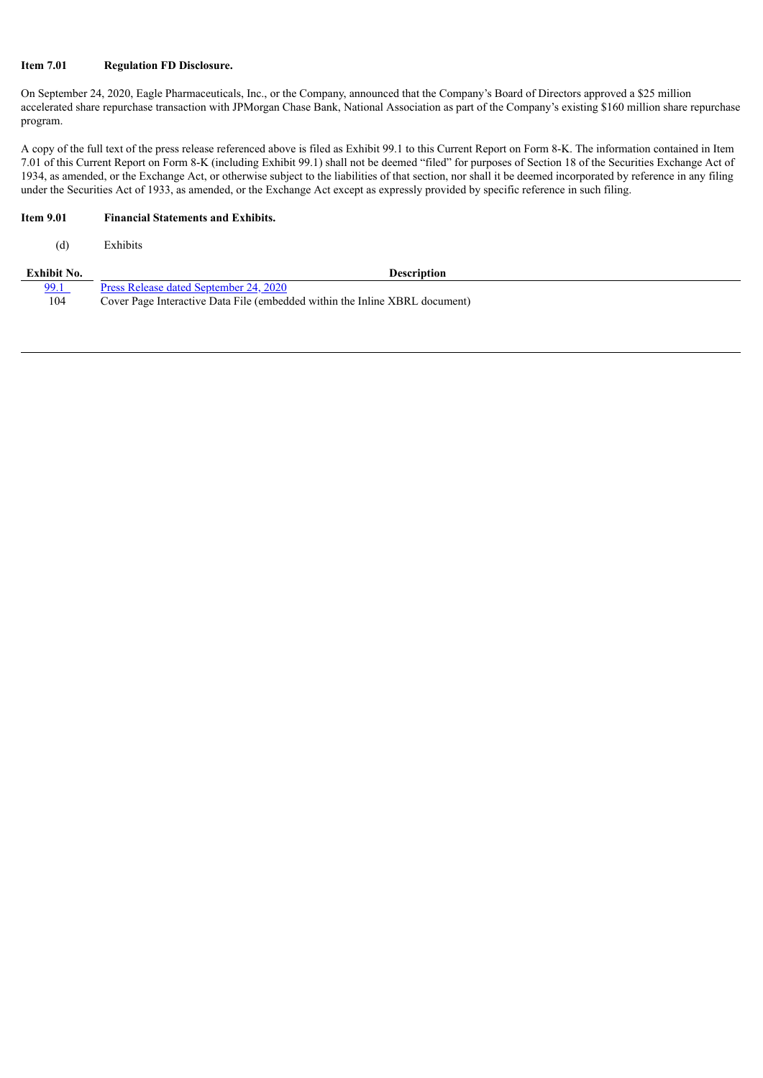### **Item 7.01 Regulation FD Disclosure.**

On September 24, 2020, Eagle Pharmaceuticals, Inc., or the Company, announced that the Company's Board of Directors approved a \$25 million accelerated share repurchase transaction with JPMorgan Chase Bank, National Association as part of the Company's existing \$160 million share repurchase program.

A copy of the full text of the press release referenced above is filed as Exhibit 99.1 to this Current Report on Form 8-K. The information contained in Item 7.01 of this Current Report on Form 8-K (including Exhibit 99.1) shall not be deemed "filed" for purposes of Section 18 of the Securities Exchange Act of 1934, as amended, or the Exchange Act, or otherwise subject to the liabilities of that section, nor shall it be deemed incorporated by reference in any filing under the Securities Act of 1933, as amended, or the Exchange Act except as expressly provided by specific reference in such filing.

## **Item 9.01 Financial Statements and Exhibits.**

(d) Exhibits

| Exhibit No. | <b>Description</b>                                                          |  |
|-------------|-----------------------------------------------------------------------------|--|
| 99.1        | Press Release dated September 24, 2020                                      |  |
| 104         | Cover Page Interactive Data File (embedded within the Inline XBRL document) |  |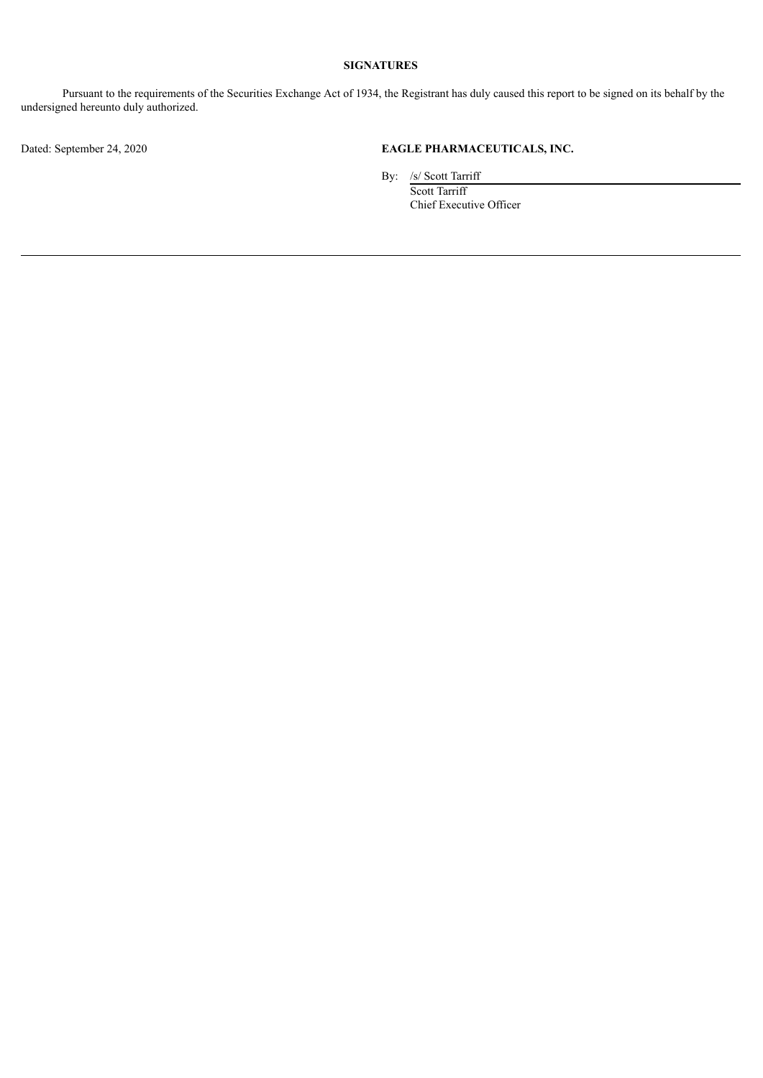## **SIGNATURES**

Pursuant to the requirements of the Securities Exchange Act of 1934, the Registrant has duly caused this report to be signed on its behalf by the undersigned hereunto duly authorized.

## Dated: September 24, 2020 **EAGLE PHARMACEUTICALS, INC.**

By: /s/ Scott Tarriff Scott Tarriff Chief Executive Officer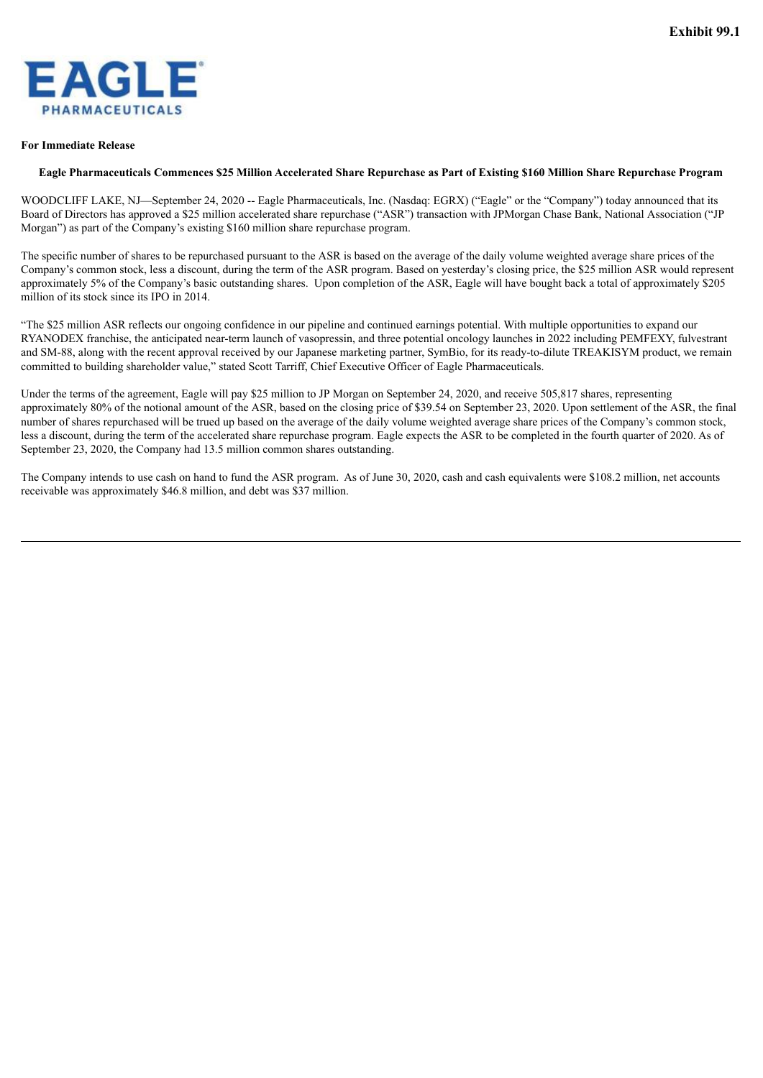<span id="page-3-0"></span>

#### **For Immediate Release**

### Eagle Pharmaceuticals Commences \$25 Million Accelerated Share Repurchase as Part of Existing \$160 Million Share Repurchase Program

WOODCLIFF LAKE, NJ—September 24, 2020 -- Eagle Pharmaceuticals, Inc. (Nasdaq: EGRX) ("Eagle" or the "Company") today announced that its Board of Directors has approved a \$25 million accelerated share repurchase ("ASR") transaction with JPMorgan Chase Bank, National Association ("JP Morgan") as part of the Company's existing \$160 million share repurchase program.

The specific number of shares to be repurchased pursuant to the ASR is based on the average of the daily volume weighted average share prices of the Company's common stock, less a discount, during the term of the ASR program. Based on yesterday's closing price, the \$25 million ASR would represent approximately 5% of the Company's basic outstanding shares. Upon completion of the ASR, Eagle will have bought back a total of approximately \$205 million of its stock since its IPO in 2014.

"The \$25 million ASR reflects our ongoing confidence in our pipeline and continued earnings potential. With multiple opportunities to expand our RYANODEX franchise, the anticipated near-term launch of vasopressin, and three potential oncology launches in 2022 including PEMFEXY, fulvestrant and SM-88, along with the recent approval received by our Japanese marketing partner, SymBio, for its ready-to-dilute TREAKISYM product, we remain committed to building shareholder value," stated Scott Tarriff, Chief Executive Officer of Eagle Pharmaceuticals.

Under the terms of the agreement, Eagle will pay \$25 million to JP Morgan on September 24, 2020, and receive 505,817 shares, representing approximately 80% of the notional amount of the ASR, based on the closing price of \$39.54 on September 23, 2020. Upon settlement of the ASR, the final number of shares repurchased will be trued up based on the average of the daily volume weighted average share prices of the Company's common stock, less a discount, during the term of the accelerated share repurchase program. Eagle expects the ASR to be completed in the fourth quarter of 2020. As of September 23, 2020, the Company had 13.5 million common shares outstanding.

The Company intends to use cash on hand to fund the ASR program. As of June 30, 2020, cash and cash equivalents were \$108.2 million, net accounts receivable was approximately \$46.8 million, and debt was \$37 million.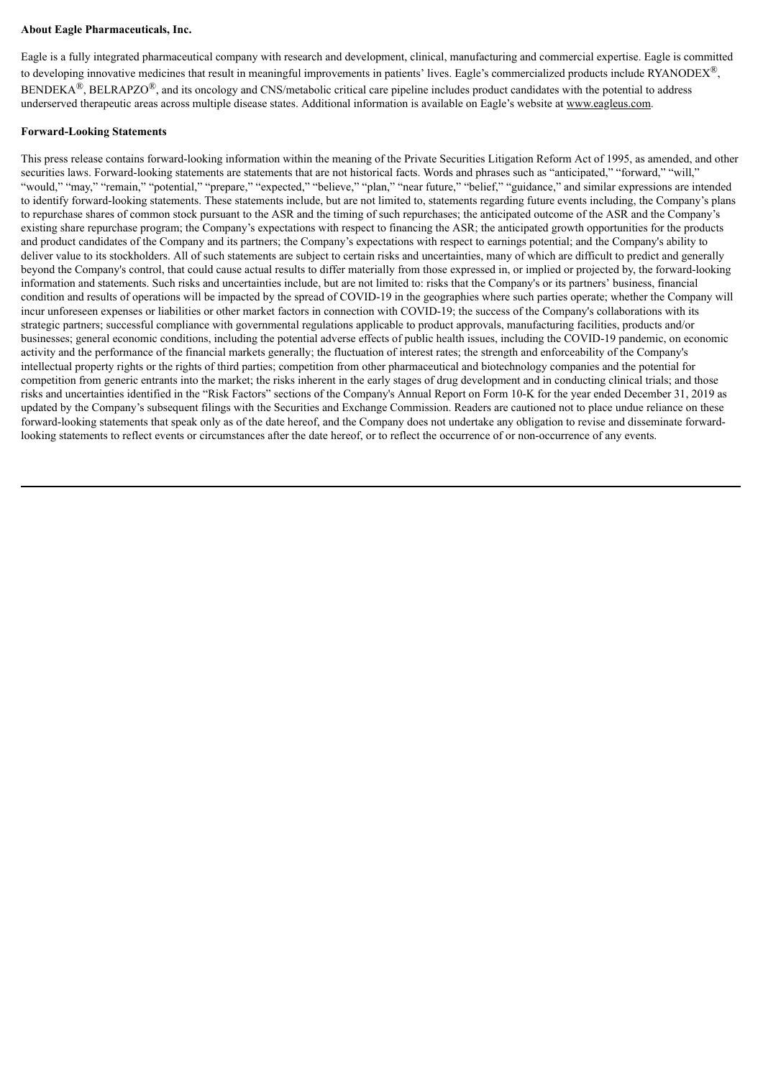### **About Eagle Pharmaceuticals, Inc.**

Eagle is a fully integrated pharmaceutical company with research and development, clinical, manufacturing and commercial expertise. Eagle is committed to developing innovative medicines that result in meaningful improvements in patients' lives. Eagle's commercialized products include RYANODEX<sup>®</sup>,  $BENDEKA^{\circledR}$ ,  $BELRAPZO^{\circledR}$ , and its oncology and CNS/metabolic critical care pipeline includes product candidates with the potential to address underserved therapeutic areas across multiple disease states. Additional information is available on Eagle's website at www.eagleus.com.

### **Forward-Looking Statements**

This press release contains forward-looking information within the meaning of the Private Securities Litigation Reform Act of 1995, as amended, and other securities laws. Forward-looking statements are statements that are not historical facts. Words and phrases such as "anticipated," "forward," "will," "would," "may," "remain," "potential," "prepare," "expected," "believe," "plan," "near future," "belief," "guidance," and similar expressions are intended to identify forward-looking statements. These statements include, but are not limited to, statements regarding future events including, the Company's plans to repurchase shares of common stock pursuant to the ASR and the timing of such repurchases; the anticipated outcome of the ASR and the Company's existing share repurchase program; the Company's expectations with respect to financing the ASR; the anticipated growth opportunities for the products and product candidates of the Company and its partners; the Company's expectations with respect to earnings potential; and the Company's ability to deliver value to its stockholders. All of such statements are subject to certain risks and uncertainties, many of which are difficult to predict and generally beyond the Company's control, that could cause actual results to differ materially from those expressed in, or implied or projected by, the forward-looking information and statements. Such risks and uncertainties include, but are not limited to: risks that the Company's or its partners' business, financial condition and results of operations will be impacted by the spread of COVID-19 in the geographies where such parties operate; whether the Company will incur unforeseen expenses or liabilities or other market factors in connection with COVID-19; the success of the Company's collaborations with its strategic partners; successful compliance with governmental regulations applicable to product approvals, manufacturing facilities, products and/or businesses; general economic conditions, including the potential adverse effects of public health issues, including the COVID-19 pandemic, on economic activity and the performance of the financial markets generally; the fluctuation of interest rates; the strength and enforceability of the Company's intellectual property rights or the rights of third parties; competition from other pharmaceutical and biotechnology companies and the potential for competition from generic entrants into the market; the risks inherent in the early stages of drug development and in conducting clinical trials; and those risks and uncertainties identified in the "Risk Factors" sections of the Company's Annual Report on Form 10-K for the year ended December 31, 2019 as updated by the Company's subsequent filings with the Securities and Exchange Commission. Readers are cautioned not to place undue reliance on these forward-looking statements that speak only as of the date hereof, and the Company does not undertake any obligation to revise and disseminate forwardlooking statements to reflect events or circumstances after the date hereof, or to reflect the occurrence of or non-occurrence of any events.